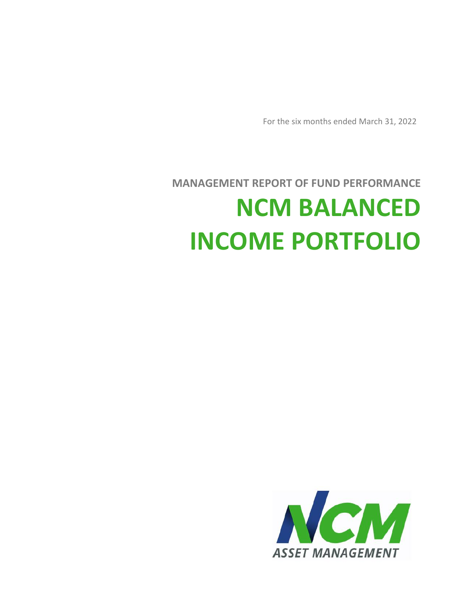

# **MANAGEMENT REPORT OF FUND PERFORMANCE NCM BALANCED INCOME PORTFOLIO**

For the six months ended March 31, 2022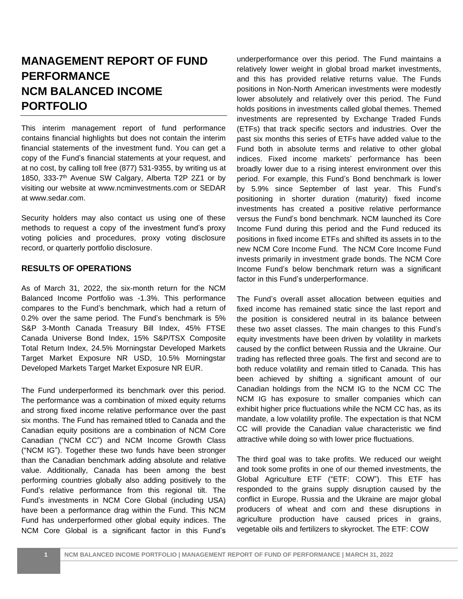# **MANAGEMENT REPORT OF FUND PERFORMANCE NCM BALANCED INCOME PORTFOLIO**

This interim management report of fund performance contains financial highlights but does not contain the interim financial statements of the investment fund. You can get a copy of the Fund's financial statements at your request, and at no cost, by calling toll free (877) 531-9355, by writing us at 1850, 333-7 th Avenue SW Calgary, Alberta T2P 2Z1 or by visiting our website at www.ncminvestments.com or SEDAR at www.sedar.com.

Security holders may also contact us using one of these methods to request a copy of the investment fund's proxy voting policies and procedures, proxy voting disclosure record, or quarterly portfolio disclosure.

# **RESULTS OF OPERATIONS**

As of March 31, 2022, the six-month return for the NCM Balanced Income Portfolio was -1.3%. This performance compares to the Fund's benchmark, which had a return of 0.2% over the same period. The Fund's benchmark is 5% S&P 3-Month Canada Treasury Bill Index, 45% FTSE Canada Universe Bond Index, 15% S&P/TSX Composite Total Return Index, 24.5% Morningstar Developed Markets Target Market Exposure NR USD, 10.5% Morningstar Developed Markets Target Market Exposure NR EUR.

The Fund underperformed its benchmark over this period. The performance was a combination of mixed equity returns and strong fixed income relative performance over the past six months. The Fund has remained titled to Canada and the Canadian equity positions are a combination of NCM Core Canadian ("NCM CC") and NCM Income Growth Class ("NCM IG"). Together these two funds have been stronger than the Canadian benchmark adding absolute and relative value. Additionally, Canada has been among the best performing countries globally also adding positively to the Fund's relative performance from this regional tilt. The Fund's investments in NCM Core Global (including USA) have been a performance drag within the Fund. This NCM Fund has underperformed other global equity indices. The NCM Core Global is a significant factor in this Fund's underperformance over this period. The Fund maintains a relatively lower weight in global broad market investments, and this has provided relative returns value. The Funds positions in Non-North American investments were modestly lower absolutely and relatively over this period. The Fund holds positions in investments called global themes. Themed investments are represented by Exchange Traded Funds (ETFs) that track specific sectors and industries. Over the past six months this series of ETFs have added value to the Fund both in absolute terms and relative to other global indices. Fixed income markets' performance has been broadly lower due to a rising interest environment over this period. For example, this Fund's Bond benchmark is lower by 5.9% since September of last year. This Fund's positioning in shorter duration (maturity) fixed income investments has created a positive relative performance versus the Fund's bond benchmark. NCM launched its Core Income Fund during this period and the Fund reduced its positions in fixed income ETFs and shifted its assets in to the new NCM Core Income Fund. The NCM Core Income Fund invests primarily in investment grade bonds. The NCM Core Income Fund's below benchmark return was a significant factor in this Fund's underperformance.

The Fund's overall asset allocation between equities and fixed income has remained static since the last report and the position is considered neutral in its balance between these two asset classes. The main changes to this Fund's equity investments have been driven by volatility in markets caused by the conflict between Russia and the Ukraine. Our trading has reflected three goals. The first and second are to both reduce volatility and remain titled to Canada. This has been achieved by shifting a significant amount of our Canadian holdings from the NCM IG to the NCM CC The NCM IG has exposure to smaller companies which can exhibit higher price fluctuations while the NCM CC has, as its mandate, a low volatility profile. The expectation is that NCM CC will provide the Canadian value characteristic we find attractive while doing so with lower price fluctuations.

The third goal was to take profits. We reduced our weight and took some profits in one of our themed investments, the Global Agriculture ETF ("ETF: COW"). This ETF has responded to the grains supply disruption caused by the conflict in Europe. Russia and the Ukraine are major global producers of wheat and corn and these disruptions in agriculture production have caused prices in grains, vegetable oils and fertilizers to skyrocket. The ETF: COW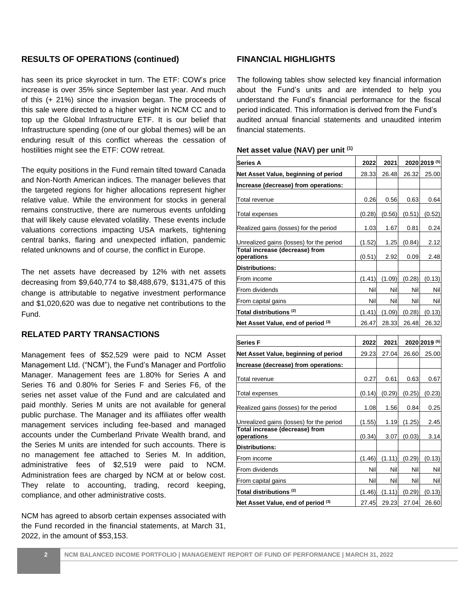## **RESULTS OF OPERATIONS (continued)**

has seen its price skyrocket in turn. The ETF: COW's price increase is over 35% since September last year. And much of this (+ 21%) since the invasion began. The proceeds of this sale were directed to a higher weight in NCM CC and to top up the Global Infrastructure ETF. It is our belief that Infrastructure spending (one of our global themes) will be an enduring result of this conflict whereas the cessation of hostilities might see the ETF: COW retreat.

The equity positions in the Fund remain tilted toward Canada and Non-North American indices. The manager believes that the targeted regions for higher allocations represent higher relative value. While the environment for stocks in general remains constructive, there are numerous events unfolding that will likely cause elevated volatility. These events include valuations corrections impacting USA markets, tightening central banks, flaring and unexpected inflation, pandemic related unknowns and of course, the conflict in Europe.

The net assets have decreased by 12% with net assets decreasing from \$9,640,774 to \$8,488,679, \$131,475 of this change is attributable to negative investment performance and \$1,020,620 was due to negative net contributions to the Fund.

# **RELATED PARTY TRANSACTIONS**

Management fees of \$52,529 were paid to NCM Asset Management Ltd. ("NCM"), the Fund's Manager and Portfolio Manager. Management fees are 1.80% for Series A and Series T6 and 0.80% for Series F and Series F6, of the series net asset value of the Fund and are calculated and paid monthly. Series M units are not available for general public purchase. The Manager and its affiliates offer wealth management services including fee-based and managed accounts under the Cumberland Private Wealth brand, and the Series M units are intended for such accounts. There is no management fee attached to Series M. In addition, administrative fees of \$2,519 were paid to NCM. Administration fees are charged by NCM at or below cost. They relate to accounting, trading, record keeping, compliance, and other administrative costs.

NCM has agreed to absorb certain expenses associated with the Fund recorded in the financial statements, at March 31, 2022, in the amount of \$53,153.

### **FINANCIAL HIGHLIGHTS**

The following tables show selected key financial information about the Fund's units and are intended to help you understand the Fund's financial performance for the fiscal period indicated. This information is derived from the Fund's audited annual financial statements and unaudited interim financial statements.

#### **Net asset value (NAV) per unit (1)**

| <b>Series A</b>                              | 2022   | 2021   |        | 2020 2019 (5) |
|----------------------------------------------|--------|--------|--------|---------------|
| Net Asset Value, beginning of period         | 28.33  | 26.48  | 26.32  | 25.00         |
| Increase (decrease) from operations:         |        |        |        |               |
| Total revenue                                | 0.26   | 0.56   | 0.63   | 0.64          |
| Total expenses                               | (0.28) | (0.56) | (0.51) | (0.52)        |
| Realized gains (losses) for the period       | 1.03   | 1.67   | 0.81   | 0.24          |
| Unrealized gains (losses) for the period     | (1.52) | 1.25   | (0.84) | 2.12          |
| Total increase (decrease) from<br>operations | (0.51) | 2.92   | 0.09   | 2.48          |
| <b>Distributions:</b>                        |        |        |        |               |
| From income                                  | (1.41) | (1.09) | (0.28) | (0.13)        |
| From dividends                               | Nil    | Nil    | Nil    | Nil           |
| From capital gains                           | Nill   | Nill   | Nil    | Nil           |
| Total distributions <sup>(2)</sup>           | (1.41) | (1.09) | (0.28) | (0.13)        |
| Net Asset Value, end of period (3)           | 26.47  | 28.33  | 26.48  | 26.32         |

| <b>Series F</b>                              |        | 2021   |        | 2020 2019 (6) |
|----------------------------------------------|--------|--------|--------|---------------|
| Net Asset Value, beginning of period         | 29.23  | 27.04  | 26.60  | 25.00         |
| Increase (decrease) from operations:         |        |        |        |               |
| Total revenue                                | 0.27   | 0.61   | 0.63   | 0.67          |
| <b>Total expenses</b>                        | (0.14) | (0.29) | (0.25) | (0.23)        |
| Realized gains (losses) for the period       | 1.08   | 1.56   | 0.84   | 0.25          |
| Unrealized gains (losses) for the period     | (1.55) | 1.19   | (1.25) | 2.45          |
| Total increase (decrease) from<br>operations | (0.34) | 3.07   | (0.03) | 3.14          |
| Distributions:                               |        |        |        |               |
| From income                                  | (1.46) | (1.11) | (0.29) | (0.13)        |
| From dividends                               | Nil    | Nil    | Nil    | Nil           |
| From capital gains                           | Nil    | Nil    | Nil    | Nil           |
| Total distributions <sup>(2)</sup>           | (1.46) | (1.11) | (0.29) | (0.13)        |
| Net Asset Value, end of period (3)           | 27.45  | 29.23  | 27.04  | 26.60         |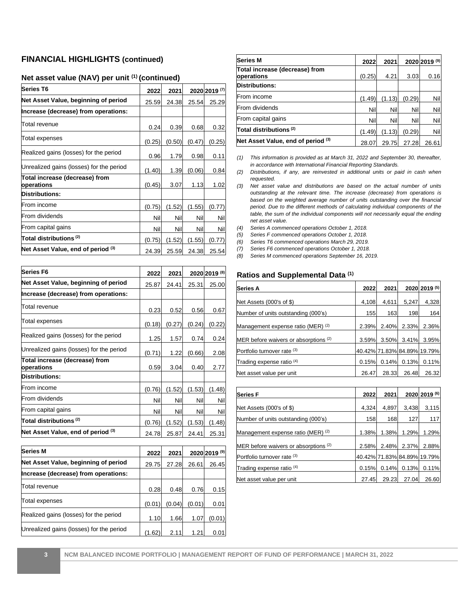# **FINANCIAL HIGHLIGHTS (continued)**

# **Net asset value (NAV) per unit (1) (continued)**

| <b>Series T6</b>                             | 2022   | 2021   |        | 2020 2019 (7) |
|----------------------------------------------|--------|--------|--------|---------------|
| Net Asset Value, beginning of period         | 25.59  | 24.38  | 25.54  | 25.29         |
| Increase (decrease) from operations:         |        |        |        |               |
| Total revenue                                | 0.24   | 0.39   | 0.68   | 0.32          |
| Total expenses                               |        | (0.50) | (0.47) | (0.25)        |
| Realized gains (losses) for the period       | 0.96   | 1.79   | 0.98   | 0.11          |
| Unrealized gains (losses) for the period     | (1.40) | 1.39   | (0.06) | 0.84          |
| Total increase (decrease) from<br>operations | (0.45) | 3.07   | 1.13   | 1.02          |
| <b>Distributions:</b>                        |        |        |        |               |
| From income                                  | (0.75) | (1.52) | (1.55) | (0.77)        |
| From dividends                               | Nill   | Nil    | Nil    | Nil           |
| From capital gains                           | Nill   | Nil    | Nil    | Nil           |
| Total distributions <sup>(2)</sup>           | (0.75) | (1.52) | (1.55) | (0.77)        |
| Net Asset Value, end of period (3)           | 24.39  | 25.59  | 24.38  | 25.54         |

| <b>Series F6</b>                               |        |        |        |               |
|------------------------------------------------|--------|--------|--------|---------------|
|                                                | 2022   | 2021   |        | 2020 2019 (8) |
| Net Asset Value, beginning of period           | 25.87  | 24.41  | 25.31  | 25.00         |
| Increase (decrease) from operations:           |        |        |        |               |
| Total revenue                                  | 0.23   | 0.52   | 0.56   | 0.67          |
| Total expenses                                 | (0.18) | (0.27) | (0.24) | (0.22)        |
| Realized gains (losses) for the period         | 1.25   | 1.57   | 0.74   | 0.24          |
| Unrealized gains (losses) for the period       | (0.71) | 1.22   | (0.66) | 2.08          |
| Total increase (decrease) from<br>operations   | 0.59   | 3.04   | 0.40   | 2.77          |
| <b>Distributions:</b>                          |        |        |        |               |
| From income                                    | (0.76) | (1.52) | (1.53) | (1.48)        |
| From dividends                                 | Nil    | Nil    | Nil    | Nil           |
| From capital gains                             | Nil    | Nil    | Nil    | Nil           |
| Total distributions ${}^{\textrm{\tiny{(2)}}}$ | (0.76) | (1.52) | (1.53) | (1.48)        |
| Net Asset Value, end of period (3)             | 24.78  | 25.87  | 24.41  | 25.31         |

| <b>Series M</b>                          | 2022   | 2021   |        | 2020 2019 (9) |
|------------------------------------------|--------|--------|--------|---------------|
| Net Asset Value, beginning of period     | 29.75  | 27.28  | 26.61  | 26.45         |
| Increase (decrease) from operations:     |        |        |        |               |
| Total revenue                            | 0.28   | 0.48   | 0.76   | 0.15          |
| <b>Total expenses</b>                    | (0.01) | (0.04) | (0.01) | 0.01          |
| Realized gains (losses) for the period   | 1.10   | 1.66   | 1.07   | (0.01)        |
| Unrealized gains (losses) for the period | 1.62   | 2.11   | 1.21   | 0.01          |

| <b>Series M</b>                              | 2022   | 2021   |        | 2020 2019 (9) |
|----------------------------------------------|--------|--------|--------|---------------|
| Total increase (decrease) from<br>operations | (0.25) | 4.21   | 3.03   | 0.16          |
| <b>Distributions:</b>                        |        |        |        |               |
| From income                                  | (1.49) | (1.13) | (0.29) | Nil           |
| From dividends                               | Nil    | Nil    | Nil    | Nil           |
| From capital gains                           | Nil    | Nil    | Nil    | Nil           |
| Total distributions <sup>(2)</sup>           | (1.49) | (1.13) | (0.29) | Nil           |
| Net Asset Value, end of period (3)           | 28.07  | 29.75  | 27.28  | 26.61         |

- *(1) This information is provided as at March 31, 2022 and September 30, thereafter, in accordance with International Financial Reporting Standards.*
- *(2) Distributions, if any, are reinvested in additional units or paid in cash when requested.*
- *(3) Net asset value and distributions are based on the actual number of units outstanding at the relevant time. The increase (decrease) from operations is based on the weighted average number of units outstanding over the financial period. Due to the different methods of calculating individual components of the table, the sum of the individual components will not necessarily equal the ending net asset value.*
- *(4) Series A commenced operations October 1, 2018.*
- *(5) Series F commenced operations October 1, 2018.*
- *(6) Series T6 commenced operations March 29, 2019.*
- *(7) Series F6 commenced operations October 1, 2018.*
- *(8) Series M commenced operations September 16, 2019.*

#### **Ratios and Supplemental Data (1)**

| Series A                              | 2022  | 2021  |                             | 2020 2019 (5) |
|---------------------------------------|-------|-------|-----------------------------|---------------|
| Net Assets (000's of \$)              | 4,108 | 4,611 | 5,247                       | 4,328         |
| Number of units outstanding (000's)   | 155   | 163   | 198                         | 164           |
| Management expense ratio (MER) (2)    | 2.39% | 2.40% | 2.33%                       | 2.36%         |
| MER before waivers or absorptions (2) | 3.59% | 3.50% | 3.41%                       | 3.95%         |
| Portfolio turnover rate (3)           |       |       | 40.42% 71.83% 84.89% 19.79% |               |
| Trading expense ratio <sup>(4)</sup>  | 0.15% | 0.14% | 0.13%                       | 0.11%         |
| Net asset value per unit              | 26.47 | 28.33 | 26.48                       | 26.32         |

| <b>Series F</b>                       | 2022  | 2021  |       | 2020 2019 (6)               |
|---------------------------------------|-------|-------|-------|-----------------------------|
| Net Assets (000's of \$)              | 4,324 | 4,897 | 3,438 | 3,115                       |
| Number of units outstanding (000's)   | 158   | 168   | 127   | 117                         |
| Management expense ratio (MER) (2)    | 1.38% | 1.38% | 1.29% | 1.29%                       |
| MER before waivers or absorptions (2) | 2.58% | 2.48% | 2.37% | 2.88%                       |
| Portfolio turnover rate (3)           |       |       |       | 40.42% 71.83% 84.89% 19.79% |
| Trading expense ratio <sup>(4)</sup>  | 0.15% | 0.14% | 0.13% | 0.11%                       |
| Net asset value per unit              | 27.45 | 29.23 | 27.04 | 26.60                       |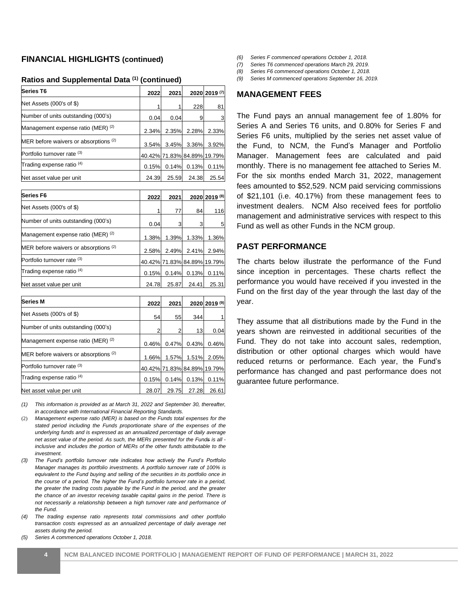#### **FINANCIAL HIGHLIGHTS (continued)**

#### **Ratios and Supplemental Data (1) (continued)**

| <b>Series T6</b>                      | 2022  | 2021           |       | 2020 2019 (7)               |
|---------------------------------------|-------|----------------|-------|-----------------------------|
| Net Assets (000's of \$)              |       |                | 228   | 81                          |
| Number of units outstanding (000's)   | 0.04  | 0.04           | 9     |                             |
| Management expense ratio (MER) (2)    |       | 2.35%<br>2.34% | 2.28% | 2.33%                       |
| MER before waivers or absorptions (2) |       | 3.45%<br>3.54% | 3.36% | 3.92%                       |
| Portfolio turnover rate (3)           |       |                |       | 40.42% 71.83% 84.89% 19.79% |
| Trading expense ratio <sup>(4)</sup>  | 0.15% | 0.14%          | 0.13% | 0.11%                       |
| Net asset value per unit              | 24.39 | 25.59          | 24.38 | 25.54                       |

| Series F6                             | 2022  | 2021           |       | 2020 2019 (8)               |
|---------------------------------------|-------|----------------|-------|-----------------------------|
| Net Assets (000's of \$)              |       | 77             | 84    | 116                         |
| Number of units outstanding (000's)   |       | 0.04<br>3      | 3     | 5                           |
| Management expense ratio (MER) (2)    |       | 1.39%<br>1.38% | 1.33% | 1.36%                       |
| MER before waivers or absorptions (2) |       | 2.49%<br>2.58% | 2.41% | 2.94%                       |
| Portfolio turnover rate (3)           |       |                |       | 40.42% 71.83% 84.89% 19.79% |
| Trading expense ratio (4)             | 0.15% | 0.14%          | 0.13% | 0.11%                       |
| Net asset value per unit              | 24.78 | 25.87          | 24.41 | 25.31                       |

| <b>Series M</b>                       | 2022  | 2021  |                             | 2020 2019 (9) |
|---------------------------------------|-------|-------|-----------------------------|---------------|
| Net Assets (000's of \$)              | 54    | 55    | 344                         |               |
| Number of units outstanding (000's)   |       | 2     | 13                          | 0.04          |
| Management expense ratio (MER) (2)    | 0.46% | 0.47% | 0.43%                       | 0.46%         |
| MER before waivers or absorptions (2) | 1.66% | 1.57% | 1.51%                       | 2.05%         |
| Portfolio turnover rate (3)           |       |       | 40.42% 71.83% 84.89% 19.79% |               |
| Trading expense ratio (4)             | 0.15% | 0.14% | 0.13%                       | 0.11%         |
| Net asset value per unit              | 28.07 | 29.75 | 27.28                       | 26.61         |

*(1) This information is provided as at March 31, 2022 and September 30, thereafter, in accordance with International Financial Reporting Standards.*

(2) *Management expense ratio (MER) is based on the Funds total expenses for the stated period including the Funds proportionate share of the expenses of the underlying funds and is expressed as an annualized percentage of daily average net asset value of the period. As such, the MERs presented for the Funds is all inclusive and includes the portion of MERs of the other funds attributable to the investment.*

*(3) The Fund's portfolio turnover rate indicates how actively the Fund's Portfolio Manager manages its portfolio investments. A portfolio turnover rate of 100% is equivalent to the Fund buying and selling of the securities in its portfolio once in the course of a period. The higher the Fund's portfolio turnover rate in a period, the greater the trading costs payable by the Fund in the period, and the greater the chance of an investor receiving taxable capital gains in the period. There is not necessarily a relationship between a high turnover rate and performance of the Fund.*

*(4) The trading expense ratio represents total commissions and other portfolio transaction costs expressed as an annualized percentage of daily average net assets during the period.*

*(5) Series A commenced operations October 1, 2018.*

- *(6) Series F commenced operations October 1, 2018.*
- *(7) Series T6 commenced operations March 29, 2019.*
- *(8) Series F6 commenced operations October 1, 2018.*
- *(9) Series M commenced operations September 16, 2019.*

#### **MANAGEMENT FEES**

The Fund pays an annual management fee of 1.80% for Series A and Series T6 units, and 0.80% for Series F and Series F6 units, multiplied by the series net asset value of the Fund, to NCM, the Fund's Manager and Portfolio Manager. Management fees are calculated and paid monthly. There is no management fee attached to Series M. For the six months ended March 31, 2022, management fees amounted to \$52,529. NCM paid servicing commissions of \$21,101 (i.e. 40.17%) from these management fees to investment dealers. NCM Also received fees for portfolio management and administrative services with respect to this Fund as well as other Funds in the NCM group.

#### **PAST PERFORMANCE**

The charts below illustrate the performance of the Fund since inception in percentages. These charts reflect the performance you would have received if you invested in the Fund on the first day of the year through the last day of the year.

They assume that all distributions made by the Fund in the years shown are reinvested in additional securities of the Fund. They do not take into account sales, redemption, distribution or other optional charges which would have reduced returns or performance. Each year, the Fund's performance has changed and past performance does not guarantee future performance.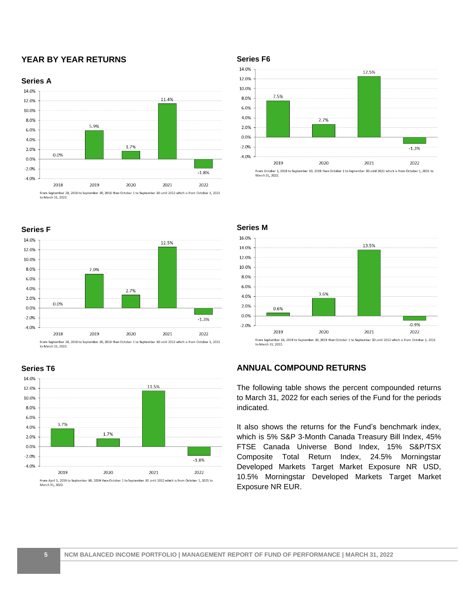# **YEAR BY YEAR RETURNS**







From September 28, 2018 to September 30, 2018 then October 1 to September 30 until 2022 which is from October 1, 2021<br>to March 31, 2022.



**Series T6**



#### **Series M**



# **ANNUAL COMPOUND RETURNS**

The following table shows the percent compounded returns to March 31, 2022 for each series of the Fund for the periods indicated.

It also shows the returns for the Fund's benchmark index, which is 5% S&P 3-Month Canada Treasury Bill Index, 45% FTSE Canada Universe Bond Index, 15% S&P/TSX Composite Total Return Index, 24.5% Morningstar Developed Markets Target Market Exposure NR USD, 10.5% Morningstar Developed Markets Target Market Exposure NR EUR.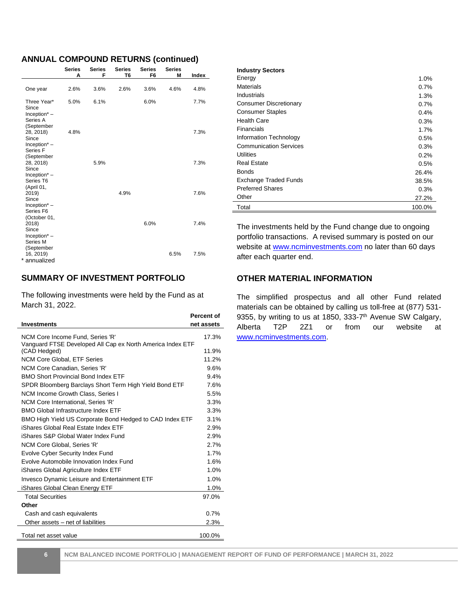#### **ANNUAL COMPOUND RETURNS (continued)**

|                                                                           | <b>Series</b><br>Α | <b>Series</b><br>F | <b>Series</b><br>T <sub>6</sub> | <b>Series</b><br>F6 | <b>Series</b><br>M | Index |
|---------------------------------------------------------------------------|--------------------|--------------------|---------------------------------|---------------------|--------------------|-------|
| One year                                                                  | 2.6%               | 3.6%               | 2.6%                            | 3.6%                | 4.6%               | 4.8%  |
| Three Year*<br>Since<br>$Inception* –$<br>Series A<br>(September          | 5.0%               | 6.1%               |                                 | 6.0%                |                    | 7.7%  |
| 28, 2018)<br>Since<br>$Inception* –$<br>Series <sub>F</sub><br>(September | 4.8%               |                    |                                 |                     |                    | 7.3%  |
| 28, 2018)<br>Since<br>$Inception* –$<br>Series T6<br>(April 01,           |                    | 5.9%               |                                 |                     |                    | 7.3%  |
| 2019)<br>Since<br>Inception $*$ –<br>Series F6<br>(October 01,            |                    |                    | 4.9%                            |                     |                    | 7.6%  |
| 2018)<br>Since<br>$Inception* –$<br>Series M<br>(September                |                    |                    |                                 | 6.0%                |                    | 7.4%  |
| 16, 2019)<br>* annualized                                                 |                    |                    |                                 |                     | 6.5%               | 7.5%  |

# **SUMMARY OF INVESTMENT PORTFOLIO**

The following investments were held by the Fund as at March 31, 2022.

|                                                                                                | <b>Percent of</b> |
|------------------------------------------------------------------------------------------------|-------------------|
| <b>Investments</b>                                                                             | net assets        |
| NCM Core Income Fund, Series 'R'<br>Vanguard FTSE Developed All Cap ex North America Index ETF | 17.3%             |
| (CAD Hedged)                                                                                   | 11.9%             |
| <b>NCM Core Global, ETF Series</b>                                                             | 11.2%             |
| NCM Core Canadian. Series 'R'                                                                  | 9.6%              |
| <b>BMO Short Provincial Bond Index ETF</b>                                                     | 9.4%              |
| SPDR Bloomberg Barclays Short Term High Yield Bond ETF                                         | 7.6%              |
| NCM Income Growth Class, Series I                                                              | 5.5%              |
| NCM Core International, Series 'R'                                                             | 3.3%              |
| BMO Global Infrastructure Index FTF                                                            | 3.3%              |
| BMO High Yield US Corporate Bond Hedged to CAD Index ETF                                       | 3.1%              |
| iShares Global Real Estate Index ETF                                                           | 2.9%              |
| iShares S&P Global Water Index Fund                                                            | 2.9%              |
| NCM Core Global, Series 'R'                                                                    | 2.7%              |
| <b>Evolve Cyber Security Index Fund</b>                                                        | 1.7%              |
| Evolve Automobile Innovation Index Fund                                                        | 1.6%              |
| iShares Global Agriculture Index ETF                                                           | 1.0%              |
| <b>Invesco Dynamic Leisure and Entertainment ETF</b>                                           | 1.0%              |
| iShares Global Clean Energy ETF                                                                | 1.0%              |
| <b>Total Securities</b>                                                                        | 97.0%             |
| Other                                                                                          |                   |
| Cash and cash equivalents                                                                      | 0.7%              |
| Other assets – net of liabilities                                                              | 2.3%              |
| Total net asset value                                                                          | 100.0%            |

| <b>Industry Sectors</b>       |        |
|-------------------------------|--------|
| Energy                        | 1.0%   |
| Materials                     | 0.7%   |
| Industrials                   | 1.3%   |
| <b>Consumer Discretionary</b> | 0.7%   |
| <b>Consumer Staples</b>       | 0.4%   |
| <b>Health Care</b>            | 0.3%   |
| Financials                    | 1.7%   |
| Information Technology        | 0.5%   |
| <b>Communication Services</b> | 0.3%   |
| Utilities                     | 0.2%   |
| <b>Real Estate</b>            | 0.5%   |
| <b>Bonds</b>                  | 26.4%  |
| Exchange Traded Funds         | 38.5%  |
| <b>Preferred Shares</b>       | 0.3%   |
| Other                         | 27.2%  |
| Total                         | 100.0% |

The investments held by the Fund change due to ongoing portfolio transactions. A revised summary is posted on our website at www.ncminvestments.com no later than 60 days after each quarter end.

#### **OTHER MATERIAL INFORMATION**

The simplified prospectus and all other Fund related materials can be obtained by calling us toll-free at (877) 531- 9355, by writing to us at 1850, 333-7<sup>th</sup> Avenue SW Calgary, Alberta T2P 2Z1 or from our website at [www.ncminvestments.com.](http://www.ncminvestments.com/)